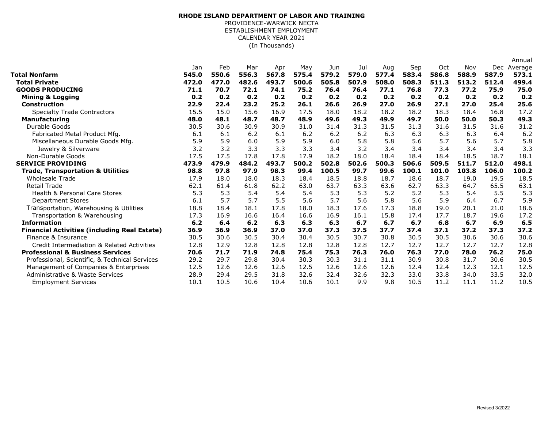## (In Thousands) **RHODE ISLAND DEPARTMENT OF LABOR AND TRAINING** PROVIDENCE-WARWICK NECTA ESTABLISHMENT EMPLOYMENT CALENDAR YEAR 2021

|                                                     |       |       |       |       |       |       |       |       |       |       |       |       | Annual  |
|-----------------------------------------------------|-------|-------|-------|-------|-------|-------|-------|-------|-------|-------|-------|-------|---------|
|                                                     | Jan   | Feb   | Mar   | Apr   | May   | Jun   | Jul   | Aug   | Sep   | Oct   | Nov   | Dec   | Average |
| Total Nonfarm                                       | 545.0 | 550.6 | 556.3 | 567.8 | 575.4 | 579.2 | 579.0 | 577.4 | 583.4 | 586.8 | 588.9 | 587.9 | 573.1   |
| <b>Total Private</b>                                | 472.0 | 477.0 | 482.6 | 493.7 | 500.6 | 505.8 | 507.9 | 508.0 | 508.3 | 511.3 | 513.2 | 512.4 | 499.4   |
| <b>GOODS PRODUCING</b>                              | 71.1  | 70.7  | 72.1  | 74.1  | 75.2  | 76.4  | 76.4  | 77.1  | 76.8  | 77.3  | 77.2  | 75.9  | 75.0    |
| <b>Mining &amp; Logging</b>                         | 0.2   | 0.2   | 0.2   | 0.2   | 0.2   | 0.2   | 0.2   | 0.2   | 0.2   | 0.2   | 0.2   | 0.2   | 0.2     |
| <b>Construction</b>                                 | 22.9  | 22.4  | 23.2  | 25.2  | 26.1  | 26.6  | 26.9  | 27.0  | 26.9  | 27.1  | 27.0  | 25.4  | 25.6    |
| <b>Specialty Trade Contractors</b>                  | 15.5  | 15.0  | 15.6  | 16.9  | 17.5  | 18.0  | 18.2  | 18.2  | 18.2  | 18.3  | 18.4  | 16.8  | 17.2    |
| <b>Manufacturing</b>                                | 48.0  | 48.1  | 48.7  | 48.7  | 48.9  | 49.6  | 49.3  | 49.9  | 49.7  | 50.0  | 50.0  | 50.3  | 49.3    |
| Durable Goods                                       | 30.5  | 30.6  | 30.9  | 30.9  | 31.0  | 31.4  | 31.3  | 31.5  | 31.3  | 31.6  | 31.5  | 31.6  | 31.2    |
| Fabricated Metal Product Mfg.                       | 6.1   | 6.1   | 6.2   | 6.1   | 6.2   | 6.2   | 6.2   | 6.3   | 6.3   | 6.3   | 6.3   | 6.4   | 6.2     |
| Miscellaneous Durable Goods Mfg.                    | 5.9   | 5.9   | 6.0   | 5.9   | 5.9   | 6.0   | 5.8   | 5.8   | 5.6   | 5.7   | 5.6   | 5.7   | 5.8     |
| Jewelry & Silverware                                | 3.2   | 3.2   | 3.3   | 3.3   | 3.3   | 3.4   | 3.2   | 3.4   | 3.4   | 3.4   | 3.4   | 3.4   | 3.3     |
| Non-Durable Goods                                   | 17.5  | 17.5  | 17.8  | 17.8  | 17.9  | 18.2  | 18.0  | 18.4  | 18.4  | 18.4  | 18.5  | 18.7  | 18.1    |
| <b>SERVICE PROVIDING</b>                            | 473.9 | 479.9 | 484.2 | 493.7 | 500.2 | 502.8 | 502.6 | 500.3 | 506.6 | 509.5 | 511.7 | 512.0 | 498.1   |
| <b>Trade, Transportation &amp; Utilities</b>        | 98.8  | 97.8  | 97.9  | 98.3  | 99.4  | 100.5 | 99.7  | 99.6  | 100.1 | 101.0 | 103.8 | 106.0 | 100.2   |
| <b>Wholesale Trade</b>                              | 17.9  | 18.0  | 18.0  | 18.3  | 18.4  | 18.5  | 18.8  | 18.7  | 18.6  | 18.7  | 19.0  | 19.5  | 18.5    |
| <b>Retail Trade</b>                                 | 62.1  | 61.4  | 61.8  | 62.2  | 63.0  | 63.7  | 63.3  | 63.6  | 62.7  | 63.3  | 64.7  | 65.5  | 63.1    |
| <b>Health &amp; Personal Care Stores</b>            | 5.3   | 5.3   | 5.4   | 5.4   | 5.4   | 5.3   | 5.3   | 5.2   | 5.2   | 5.3   | 5.4   | 5.5   | 5.3     |
| <b>Department Stores</b>                            | 6.1   | 5.7   | 5.7   | 5.5   | 5.6   | 5.7   | 5.6   | 5.8   | 5.6   | 5.9   | 6.4   | 6.7   | 5.9     |
| Transportation, Warehousing & Utilities             | 18.8  | 18.4  | 18.1  | 17.8  | 18.0  | 18.3  | 17.6  | 17.3  | 18.8  | 19.0  | 20.1  | 21.0  | 18.6    |
| Transportation & Warehousing                        | 17.3  | 16.9  | 16.6  | 16.4  | 16.6  | 16.9  | 16.1  | 15.8  | 17.4  | 17.7  | 18.7  | 19.6  | 17.2    |
| <b>Information</b>                                  | 6.2   | 6.4   | 6.2   | 6.3   | 6.3   | 6.3   | 6.7   | 6.7   | 6.7   | 6.8   | 6.7   | 6.9   | 6.5     |
| <b>Financial Activities (including Real Estate)</b> | 36.9  | 36.9  | 36.9  | 37.0  | 37.0  | 37.3  | 37.5  | 37.7  | 37.4  | 37.1  | 37.2  | 37.3  | 37.2    |
| Finance & Insurance                                 | 30.5  | 30.6  | 30.5  | 30.4  | 30.4  | 30.5  | 30.7  | 30.8  | 30.5  | 30.5  | 30.6  | 30.6  | 30.6    |
| Credit Intermediation & Related Activities          | 12.8  | 12.9  | 12.8  | 12.8  | 12.8  | 12.8  | 12.8  | 12.7  | 12.7  | 12.7  | 12.7  | 12.7  | 12.8    |
| <b>Professional &amp; Business Services</b>         | 70.6  | 71.7  | 71.9  | 74.8  | 75.4  | 75.3  | 76.3  | 76.0  | 76.3  | 77.0  | 78.0  | 76.2  | 75.0    |
| Professional, Scientific, & Technical Services      | 29.2  | 29.7  | 29.8  | 30.4  | 30.3  | 30.3  | 31.1  | 31.1  | 30.9  | 30.8  | 31.7  | 30.6  | 30.5    |
| Management of Companies & Enterprises               | 12.5  | 12.6  | 12.6  | 12.6  | 12.5  | 12.6  | 12.6  | 12.6  | 12.4  | 12.4  | 12.3  | 12.1  | 12.5    |
| Administrative & Waste Services                     | 28.9  | 29.4  | 29.5  | 31.8  | 32.6  | 32.4  | 32.6  | 32.3  | 33.0  | 33.8  | 34.0  | 33.5  | 32.0    |
| <b>Employment Services</b>                          | 10.1  | 10.5  | 10.6  | 10.4  | 10.6  | 10.1  | 9.9   | 9.8   | 10.5  | 11.2  | 11.1  | 11.2  | 10.5    |